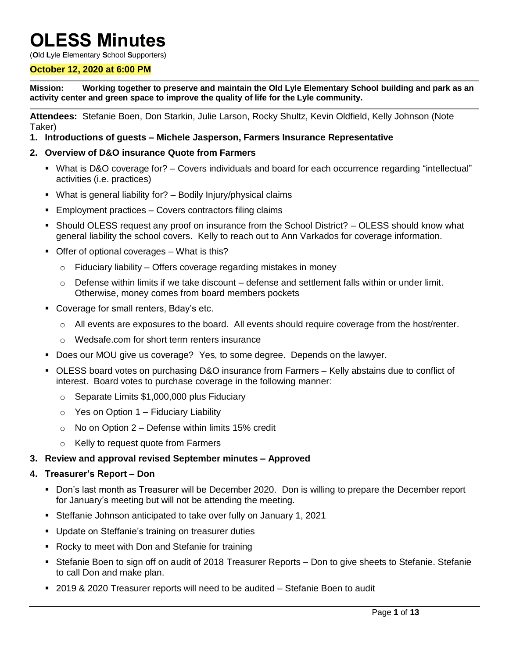# **OLESS Minutes**

(**O**ld **L**yle **E**lementary **S**chool **S**upporters)

#### **October 12, 2020 at 6:00 PM**

**Mission: Working together to preserve and maintain the Old Lyle Elementary School building and park as an activity center and green space to improve the quality of life for the Lyle community.**

**Attendees:** Stefanie Boen, Don Starkin, Julie Larson, Rocky Shultz, Kevin Oldfield, Kelly Johnson (Note Taker)

**1. Introductions of guests – Michele Jasperson, Farmers Insurance Representative** 

# **2. Overview of D&O insurance Quote from Farmers**

- What is D&O coverage for? Covers individuals and board for each occurrence regarding "intellectual" activities (i.e. practices)
- What is general liability for? Bodily Injury/physical claims
- **Employment practices Covers contractors filing claims**
- Should OLESS request any proof on insurance from the School District? OLESS should know what general liability the school covers. Kelly to reach out to Ann Varkados for coverage information.
- **Offer of optional coverages What is this?** 
	- $\circ$  Fiduciary liability Offers coverage regarding mistakes in money
	- $\circ$  Defense within limits if we take discount defense and settlement falls within or under limit. Otherwise, money comes from board members pockets
- **Coverage for small renters, Bday's etc.** 
	- $\circ$  All events are exposures to the board. All events should require coverage from the host/renter.
	- o Wedsafe.com for short term renters insurance
- Does our MOU give us coverage? Yes, to some degree. Depends on the lawyer.
- OLESS board votes on purchasing D&O insurance from Farmers Kelly abstains due to conflict of interest. Board votes to purchase coverage in the following manner:
	- o Separate Limits \$1,000,000 plus Fiduciary
	- $\circ$  Yes on Option 1 Fiduciary Liability
	- $\circ$  No on Option 2 Defense within limits 15% credit
	- o Kelly to request quote from Farmers

# **3. Review and approval revised September minutes – Approved**

#### **4. Treasurer's Report – Don**

- Don's last month as Treasurer will be December 2020. Don is willing to prepare the December report for January's meeting but will not be attending the meeting.
- Steffanie Johnson anticipated to take over fully on January 1, 2021
- **Update on Steffanie's training on treasurer duties**
- Rocky to meet with Don and Stefanie for training
- Stefanie Boen to sign off on audit of 2018 Treasurer Reports Don to give sheets to Stefanie. Stefanie to call Don and make plan.
- 2019 & 2020 Treasurer reports will need to be audited Stefanie Boen to audit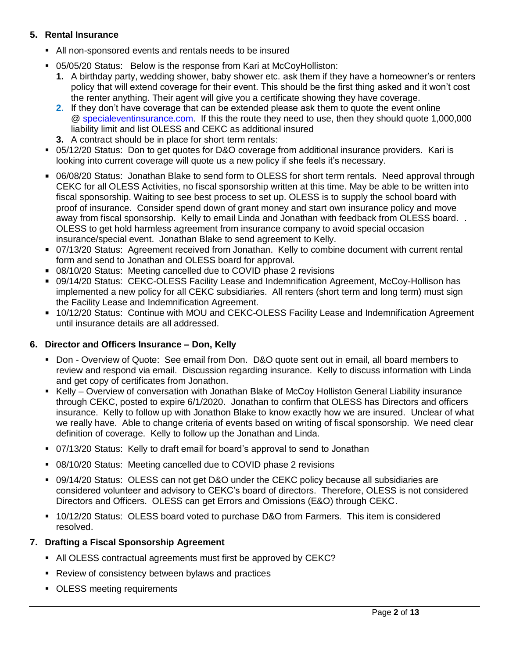# **5. Rental Insurance**

- All non-sponsored events and rentals needs to be insured
- 05/05/20 Status: Below is the response from Kari at McCoyHolliston:
	- **1.** A birthday party, wedding shower, baby shower etc. ask them if they have a homeowner's or renters policy that will extend coverage for their event. This should be the first thing asked and it won't cost the renter anything. Their agent will give you a certificate showing they have coverage.
	- **2.** If they don't have coverage that can be extended please ask them to quote the event online @ [specialeventinsurance.com.](http://specialeventinsurance.com/) If this the route they need to use, then they should quote 1,000,000 liability limit and list OLESS and CEKC as additional insured
	- **3.** A contract should be in place for short term rentals:
- 05/12/20 Status: Don to get quotes for D&O coverage from additional insurance providers. Kari is looking into current coverage will quote us a new policy if she feels it's necessary.
- 06/08/20 Status: Jonathan Blake to send form to OLESS for short term rentals. Need approval through CEKC for all OLESS Activities, no fiscal sponsorship written at this time. May be able to be written into fiscal sponsorship. Waiting to see best process to set up. OLESS is to supply the school board with proof of insurance. Consider spend down of grant money and start own insurance policy and move away from fiscal sponsorship. Kelly to email Linda and Jonathan with feedback from OLESS board. . OLESS to get hold harmless agreement from insurance company to avoid special occasion insurance/special event. Jonathan Blake to send agreement to Kelly.
- 07/13/20 Status: Agreement received from Jonathan. Kelly to combine document with current rental form and send to Jonathan and OLESS board for approval.
- 08/10/20 Status: Meeting cancelled due to COVID phase 2 revisions
- 09/14/20 Status: CEKC-OLESS Facility Lease and Indemnification Agreement, McCoy-Hollison has implemented a new policy for all CEKC subsidiaries. All renters (short term and long term) must sign the Facility Lease and Indemnification Agreement.
- 10/12/20 Status: Continue with MOU and CEKC-OLESS Facility Lease and Indemnification Agreement until insurance details are all addressed.

# **6. Director and Officers Insurance – Don, Kelly**

- Don Overview of Quote: See email from Don. D&O quote sent out in email, all board members to review and respond via email. Discussion regarding insurance. Kelly to discuss information with Linda and get copy of certificates from Jonathon.
- Kelly Overview of conversation with Jonathan Blake of McCoy Holliston General Liability insurance through CEKC, posted to expire 6/1/2020. Jonathan to confirm that OLESS has Directors and officers insurance. Kelly to follow up with Jonathon Blake to know exactly how we are insured. Unclear of what we really have. Able to change criteria of events based on writing of fiscal sponsorship. We need clear definition of coverage. Kelly to follow up the Jonathan and Linda.
- 07/13/20 Status: Kelly to draft email for board's approval to send to Jonathan
- 08/10/20 Status: Meeting cancelled due to COVID phase 2 revisions
- 09/14/20 Status: OLESS can not get D&O under the CEKC policy because all subsidiaries are considered volunteer and advisory to CEKC's board of directors. Therefore, OLESS is not considered Directors and Officers. OLESS can get Errors and Omissions (E&O) through CEKC.
- 10/12/20 Status: OLESS board voted to purchase D&O from Farmers. This item is considered resolved.

# **7. Drafting a Fiscal Sponsorship Agreement**

- All OLESS contractual agreements must first be approved by CEKC?
- Review of consistency between bylaws and practices
- OLESS meeting requirements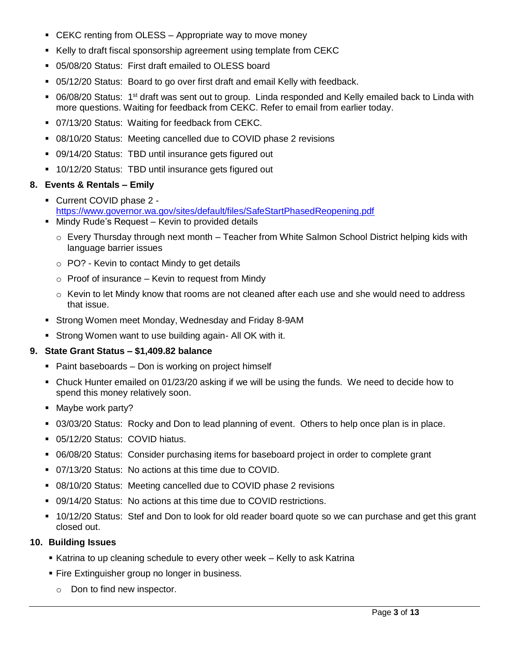- **EXAC renting from OLESS Appropriate way to move money**
- Kelly to draft fiscal sponsorship agreement using template from CEKC
- 05/08/20 Status: First draft emailed to OLESS board
- 05/12/20 Status: Board to go over first draft and email Kelly with feedback.
- 06/08/20 Status: 1<sup>st</sup> draft was sent out to group. Linda responded and Kelly emailed back to Linda with more questions. Waiting for feedback from CEKC. Refer to email from earlier today.
- 07/13/20 Status: Waiting for feedback from CEKC.
- 08/10/20 Status: Meeting cancelled due to COVID phase 2 revisions
- 09/14/20 Status:TBD until insurance gets figured out
- 10/12/20 Status:TBD until insurance gets figured out

# **8. Events & Rentals – Emily**

- Current COVID phase 2 <https://www.governor.wa.gov/sites/default/files/SafeStartPhasedReopening.pdf>
- **Mindy Rude's Request Kevin to provided details** 
	- o Every Thursday through next month Teacher from White Salmon School District helping kids with language barrier issues
	- o PO? Kevin to contact Mindy to get details
	- $\circ$  Proof of insurance Kevin to request from Mindy
	- $\circ$  Kevin to let Mindy know that rooms are not cleaned after each use and she would need to address that issue.
- Strong Women meet Monday, Wednesday and Friday 8-9AM
- Strong Women want to use building again- All OK with it.

# **9. State Grant Status – \$1,409.82 balance**

- Paint baseboards Don is working on project himself
- Chuck Hunter emailed on 01/23/20 asking if we will be using the funds. We need to decide how to spend this money relatively soon.
- Maybe work party?
- 03/03/20 Status: Rocky and Don to lead planning of event. Others to help once plan is in place.
- 05/12/20 Status: COVID hiatus.
- 06/08/20 Status: Consider purchasing items for baseboard project in order to complete grant
- 07/13/20 Status: No actions at this time due to COVID.
- 08/10/20 Status: Meeting cancelled due to COVID phase 2 revisions
- 09/14/20 Status: No actions at this time due to COVID restrictions.
- 10/12/20 Status: Stef and Don to look for old reader board quote so we can purchase and get this grant closed out.

# **10. Building Issues**

- Katrina to up cleaning schedule to every other week Kelly to ask Katrina
- **Fire Extinguisher group no longer in business.** 
	- o Don to find new inspector.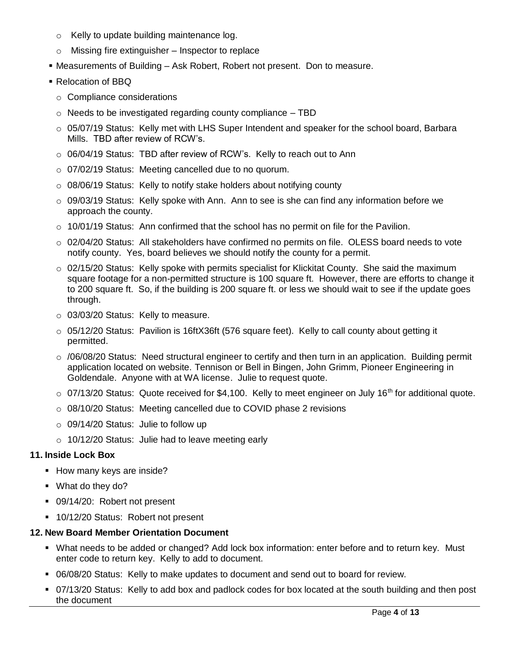- o Kelly to update building maintenance log.
- $\circ$  Missing fire extinguisher Inspector to replace
- Measurements of Building Ask Robert, Robert not present. Don to measure.
- Relocation of BBQ
	- o Compliance considerations
	- $\circ$  Needs to be investigated regarding county compliance  $-$  TBD
	- $\circ$  05/07/19 Status: Kelly met with LHS Super Intendent and speaker for the school board, Barbara Mills. TBD after review of RCW's.
	- $\circ$  06/04/19 Status: TBD after review of RCW's. Kelly to reach out to Ann
	- o 07/02/19 Status: Meeting cancelled due to no quorum.
	- o 08/06/19 Status: Kelly to notify stake holders about notifying county
	- $\circ$  09/03/19 Status: Kelly spoke with Ann. Ann to see is she can find any information before we approach the county.
	- $\circ$  10/01/19 Status: Ann confirmed that the school has no permit on file for the Pavilion.
	- o 02/04/20 Status: All stakeholders have confirmed no permits on file. OLESS board needs to vote notify county. Yes, board believes we should notify the county for a permit.
	- $\circ$  02/15/20 Status: Kelly spoke with permits specialist for Klickitat County. She said the maximum square footage for a non-permitted structure is 100 square ft. However, there are efforts to change it to 200 square ft. So, if the building is 200 square ft. or less we should wait to see if the update goes through.
	- o 03/03/20 Status: Kelly to measure.
	- $\circ$  05/12/20 Status: Pavilion is 16ftX36ft (576 square feet). Kelly to call county about getting it permitted.
	- o /06/08/20 Status: Need structural engineer to certify and then turn in an application. Building permit application located on website. Tennison or Bell in Bingen, John Grimm, Pioneer Engineering in Goldendale. Anyone with at WA license. Julie to request quote.
	- $\circ$  07/13/20 Status: Quote received for \$4,100. Kelly to meet engineer on July 16<sup>th</sup> for additional quote.
	- o 08/10/20 Status: Meeting cancelled due to COVID phase 2 revisions
	- o 09/14/20 Status: Julie to follow up
	- o 10/12/20 Status: Julie had to leave meeting early

# **11. Inside Lock Box**

- How many keys are inside?
- What do they do?
- 09/14/20: Robert not present
- **10/12/20 Status: Robert not present**

# **12. New Board Member Orientation Document**

- What needs to be added or changed? Add lock box information: enter before and to return key. Must enter code to return key. Kelly to add to document.
- 06/08/20 Status: Kelly to make updates to document and send out to board for review.
- 07/13/20 Status: Kelly to add box and padlock codes for box located at the south building and then post the document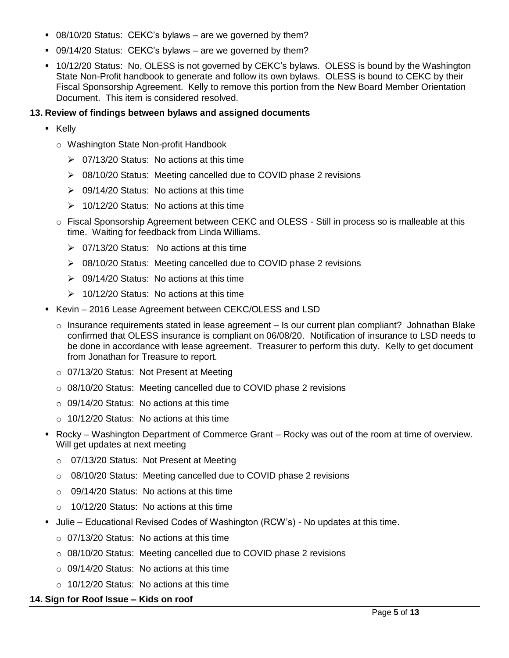- 08/10/20 Status: CEKC's bylaws are we governed by them?
- 09/14/20 Status: CEKC's bylaws are we governed by them?
- 10/12/20 Status: No, OLESS is not governed by CEKC's bylaws. OLESS is bound by the Washington State Non-Profit handbook to generate and follow its own bylaws. OLESS is bound to CEKC by their Fiscal Sponsorship Agreement. Kelly to remove this portion from the New Board Member Orientation Document. This item is considered resolved.

# **13. Review of findings between bylaws and assigned documents**

- Kelly
	- o Washington State Non-profit Handbook
		- $\geq 07/13/20$  Status: No actions at this time
		- ▶ 08/10/20 Status: Meeting cancelled due to COVID phase 2 revisions
		- $\geq 09/14/20$  Status: No actions at this time
		- $\geq 10/12/20$  Status: No actions at this time
	- o Fiscal Sponsorship Agreement between CEKC and OLESS Still in process so is malleable at this time. Waiting for feedback from Linda Williams.
		- $\geq$  07/13/20 Status: No actions at this time
		- 08/10/20 Status: Meeting cancelled due to COVID phase 2 revisions
		- $\geq 09/14/20$  Status: No actions at this time
		- $\geq 10/12/20$  Status: No actions at this time
- Kevin 2016 Lease Agreement between CEKC/OLESS and LSD
	- $\circ$  Insurance requirements stated in lease agreement Is our current plan compliant? Johnathan Blake confirmed that OLESS insurance is compliant on 06/08/20. Notification of insurance to LSD needs to be done in accordance with lease agreement. Treasurer to perform this duty. Kelly to get document from Jonathan for Treasure to report.
	- o 07/13/20 Status: Not Present at Meeting
	- $\circ$  08/10/20 Status: Meeting cancelled due to COVID phase 2 revisions
	- $\circ$  09/14/20 Status: No actions at this time
	- o 10/12/20 Status: No actions at this time
- Rocky Washington Department of Commerce Grant Rocky was out of the room at time of overview. Will get updates at next meeting
	- o 07/13/20 Status: Not Present at Meeting
	- o 08/10/20 Status: Meeting cancelled due to COVID phase 2 revisions
	- $\circ$  09/14/20 Status: No actions at this time
	- $\circ$  10/12/20 Status: No actions at this time
- **Julie Educational Revised Codes of Washington (RCW's) No updates at this time.** 
	- $\circ$  07/13/20 Status: No actions at this time
	- o 08/10/20 Status: Meeting cancelled due to COVID phase 2 revisions
	- o 09/14/20 Status: No actions at this time
	- o 10/12/20 Status: No actions at this time

# **14. Sign for Roof Issue – Kids on roof**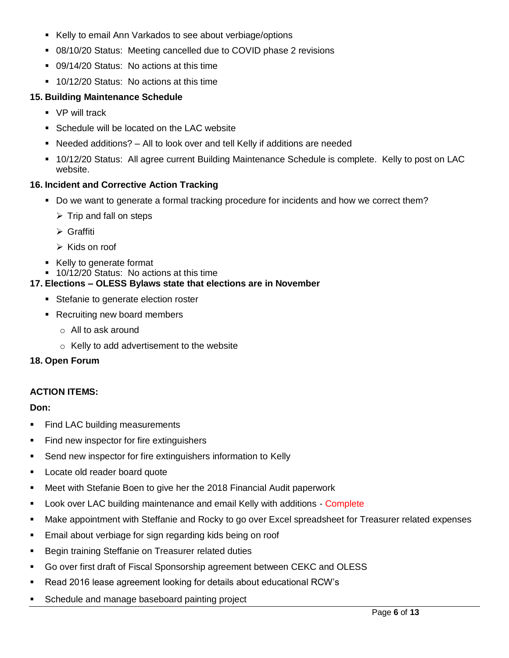- Kelly to email Ann Varkados to see about verbiage/options
- 08/10/20 Status: Meeting cancelled due to COVID phase 2 revisions
- 09/14/20 Status: No actions at this time
- **10/12/20 Status: No actions at this time**

# **15. Building Maintenance Schedule**

- **•** VP will track
- Schedule will be located on the LAC website
- Needed additions? All to look over and tell Kelly if additions are needed
- 10/12/20 Status: All agree current Building Maintenance Schedule is complete. Kelly to post on LAC website.

# **16. Incident and Corrective Action Tracking**

- Do we want to generate a formal tracking procedure for incidents and how we correct them?
	- $\triangleright$  Trip and fall on steps
	- Graffiti
	- $\triangleright$  Kids on roof
- Kelly to generate format
- **10/12/20 Status: No actions at this time**

#### **17. Elections – OLESS Bylaws state that elections are in November**

- **Stefanie to generate election roster**
- Recruiting new board members
	- o All to ask around
	- o Kelly to add advertisement to the website

#### **18. Open Forum**

# **ACTION ITEMS:**

# **Don:**

- **Find LAC building measurements**
- **Find new inspector for fire extinguishers**
- **Send new inspector for fire extinguishers information to Kelly**
- **Locate old reader board quote**
- Meet with Stefanie Boen to give her the 2018 Financial Audit paperwork
- **Look over LAC building maintenance and email Kelly with additions Complete**
- Make appointment with Steffanie and Rocky to go over Excel spreadsheet for Treasurer related expenses
- Email about verbiage for sign regarding kids being on roof
- **Begin training Steffanie on Treasurer related duties**
- Go over first draft of Fiscal Sponsorship agreement between CEKC and OLESS
- Read 2016 lease agreement looking for details about educational RCW's
- Schedule and manage baseboard painting project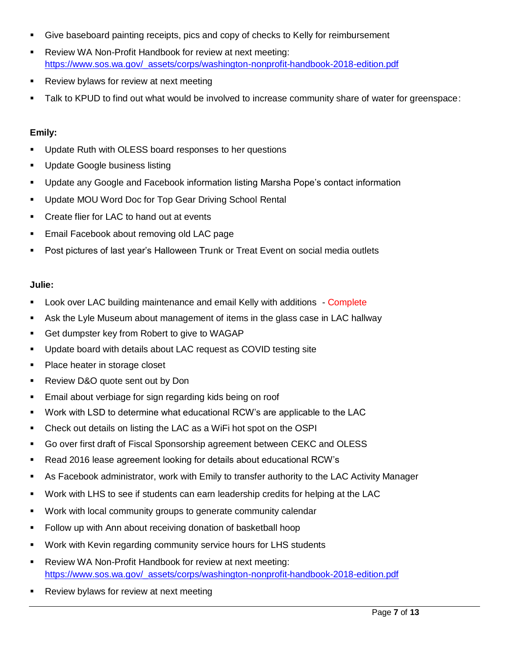- Give baseboard painting receipts, pics and copy of checks to Kelly for reimbursement
- **-** Review WA Non-Profit Handbook for review at next meeting: [https://www.sos.wa.gov/\\_assets/corps/washington-nonprofit-handbook-2018-edition.pdf](https://www.sos.wa.gov/_assets/corps/washington-nonprofit-handbook-2018-edition.pdf)
- **Review bylaws for review at next meeting**
- Talk to KPUD to find out what would be involved to increase community share of water for greenspace:

# **Emily:**

- Update Ruth with OLESS board responses to her questions
- Update Google business listing
- Update any Google and Facebook information listing Marsha Pope's contact information
- **Update MOU Word Doc for Top Gear Driving School Rental**
- **EXECT** Create flier for LAC to hand out at events
- **Email Facebook about removing old LAC page**
- Post pictures of last year's Halloween Trunk or Treat Event on social media outlets

# **Julie:**

- **Look over LAC building maintenance and email Kelly with additions Complete**
- Ask the Lyle Museum about management of items in the glass case in LAC hallway
- **Get dumpster key from Robert to give to WAGAP**
- Update board with details about LAC request as COVID testing site
- Place heater in storage closet
- **Review D&O quote sent out by Don**
- **Email about verbiage for sign regarding kids being on roof**
- Work with LSD to determine what educational RCW's are applicable to the LAC
- Check out details on listing the LAC as a WiFi hot spot on the OSPI
- Go over first draft of Fiscal Sponsorship agreement between CEKC and OLESS
- Read 2016 lease agreement looking for details about educational RCW's
- As Facebook administrator, work with Emily to transfer authority to the LAC Activity Manager
- Work with LHS to see if students can earn leadership credits for helping at the LAC
- Work with local community groups to generate community calendar
- Follow up with Ann about receiving donation of basketball hoop
- Work with Kevin regarding community service hours for LHS students
- Review WA Non-Profit Handbook for review at next meeting: [https://www.sos.wa.gov/\\_assets/corps/washington-nonprofit-handbook-2018-edition.pdf](https://www.sos.wa.gov/_assets/corps/washington-nonprofit-handbook-2018-edition.pdf)
- **Review bylaws for review at next meeting**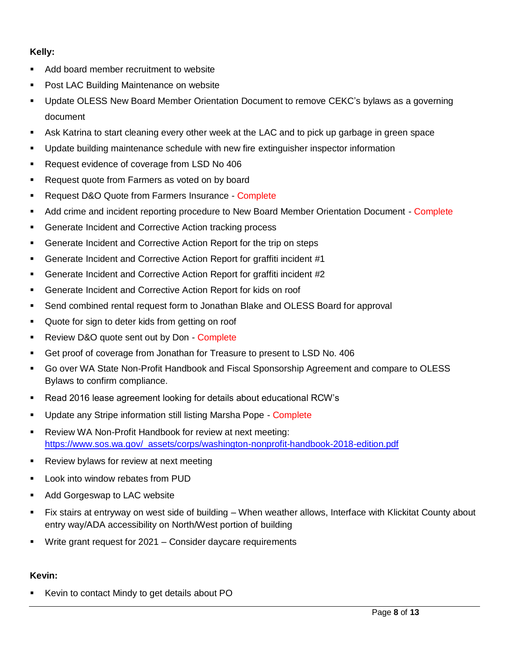# **Kelly:**

- Add board member recruitment to website
- **Post LAC Building Maintenance on website**
- Update OLESS New Board Member Orientation Document to remove CEKC's bylaws as a governing document
- Ask Katrina to start cleaning every other week at the LAC and to pick up garbage in green space
- Update building maintenance schedule with new fire extinguisher inspector information
- **Request evidence of coverage from LSD No 406**
- **Request quote from Farmers as voted on by board**
- **Request D&O Quote from Farmers Insurance Complete**
- Add crime and incident reporting procedure to New Board Member Orientation Document Complete
- Generate Incident and Corrective Action tracking process
- Generate Incident and Corrective Action Report for the trip on steps
- Generate Incident and Corrective Action Report for graffiti incident #1
- Generate Incident and Corrective Action Report for graffiti incident #2
- Generate Incident and Corrective Action Report for kids on roof
- Send combined rental request form to Jonathan Blake and OLESS Board for approval
- Quote for sign to deter kids from getting on roof
- **Review D&O quote sent out by Don Complete**
- Get proof of coverage from Jonathan for Treasure to present to LSD No. 406
- Go over WA State Non-Profit Handbook and Fiscal Sponsorship Agreement and compare to OLESS Bylaws to confirm compliance.
- Read 2016 lease agreement looking for details about educational RCW's
- Update any Stripe information still listing Marsha Pope Complete
- Review WA Non-Profit Handbook for review at next meeting: [https://www.sos.wa.gov/\\_assets/corps/washington-nonprofit-handbook-2018-edition.pdf](https://www.sos.wa.gov/_assets/corps/washington-nonprofit-handbook-2018-edition.pdf)
- **Review bylaws for review at next meeting**
- **-** Look into window rebates from PUD
- Add Gorgeswap to LAC website
- Fix stairs at entryway on west side of building When weather allows, Interface with Klickitat County about entry way/ADA accessibility on North/West portion of building
- Write grant request for 2021 Consider daycare requirements

# **Kevin:**

■ Kevin to contact Mindy to get details about PO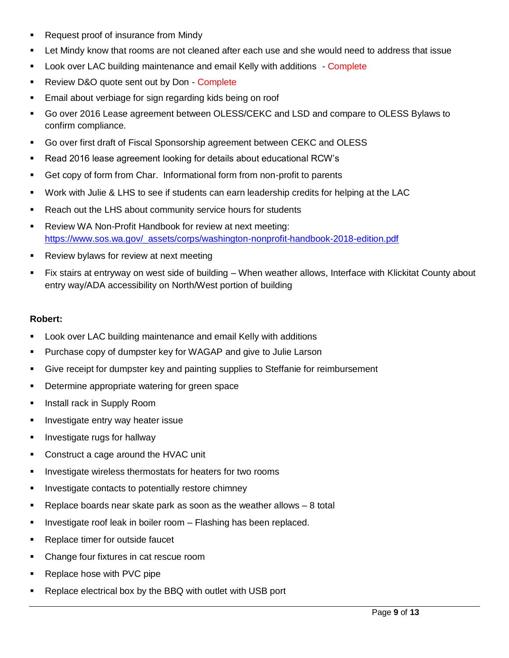- **Request proof of insurance from Mindy**
- Let Mindy know that rooms are not cleaned after each use and she would need to address that issue
- Look over LAC building maintenance and email Kelly with additions Complete
- **Review D&O quote sent out by Don Complete**
- Email about verbiage for sign regarding kids being on roof
- Go over 2016 Lease agreement between OLESS/CEKC and LSD and compare to OLESS Bylaws to confirm compliance.
- Go over first draft of Fiscal Sponsorship agreement between CEKC and OLESS
- Read 2016 lease agreement looking for details about educational RCW's
- Get copy of form from Char. Informational form from non-profit to parents
- Work with Julie & LHS to see if students can earn leadership credits for helping at the LAC
- **Reach out the LHS about community service hours for students**
- **-** Review WA Non-Profit Handbook for review at next meeting: [https://www.sos.wa.gov/\\_assets/corps/washington-nonprofit-handbook-2018-edition.pdf](https://www.sos.wa.gov/_assets/corps/washington-nonprofit-handbook-2018-edition.pdf)
- **Review bylaws for review at next meeting**
- Fix stairs at entryway on west side of building When weather allows, Interface with Klickitat County about entry way/ADA accessibility on North/West portion of building

#### **Robert:**

- Look over LAC building maintenance and email Kelly with additions
- **Purchase copy of dumpster key for WAGAP and give to Julie Larson**
- Give receipt for dumpster key and painting supplies to Steffanie for reimbursement
- **Determine appropriate watering for green space**
- **Install rack in Supply Room**
- **Investigate entry way heater issue**
- **Investigate rugs for hallway**
- Construct a cage around the HVAC unit
- Investigate wireless thermostats for heaters for two rooms
- **Investigate contacts to potentially restore chimney**
- **Parable 2** Replace boards near skate park as soon as the weather allows  $-8$  total
- $\blacksquare$  Investigate roof leak in boiler room  $-$  Flashing has been replaced.
- **Replace timer for outside faucet**
- Change four fixtures in cat rescue room
- Replace hose with PVC pipe
- Replace electrical box by the BBQ with outlet with USB port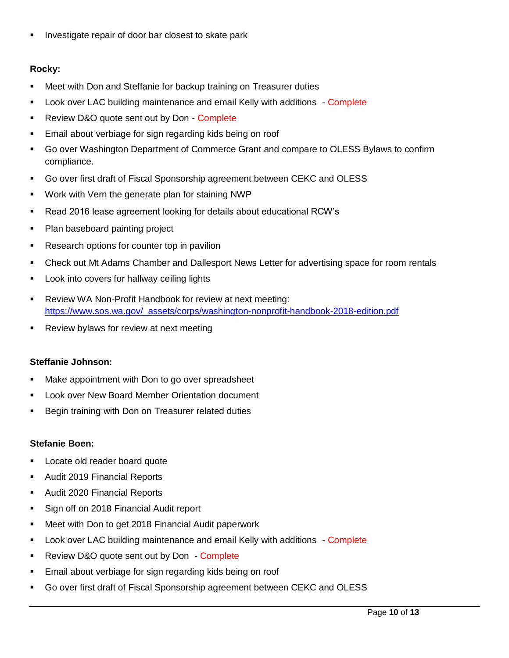**Investigate repair of door bar closest to skate park** 

# **Rocky:**

- Meet with Don and Steffanie for backup training on Treasurer duties
- Look over LAC building maintenance and email Kelly with additions Complete
- **Review D&O quote sent out by Don Complete**
- Email about verbiage for sign regarding kids being on roof
- Go over Washington Department of Commerce Grant and compare to OLESS Bylaws to confirm compliance.
- Go over first draft of Fiscal Sponsorship agreement between CEKC and OLESS
- Work with Vern the generate plan for staining NWP
- Read 2016 lease agreement looking for details about educational RCW's
- Plan baseboard painting project
- **Research options for counter top in pavilion**
- Check out Mt Adams Chamber and Dallesport News Letter for advertising space for room rentals
- **Look into covers for hallway ceiling lights**
- Review WA Non-Profit Handbook for review at next meeting: [https://www.sos.wa.gov/\\_assets/corps/washington-nonprofit-handbook-2018-edition.pdf](https://www.sos.wa.gov/_assets/corps/washington-nonprofit-handbook-2018-edition.pdf)
- **Review bylaws for review at next meeting**

# **Steffanie Johnson:**

- Make appointment with Don to go over spreadsheet
- **EXECT:** Look over New Board Member Orientation document
- Begin training with Don on Treasurer related duties

# **Stefanie Boen:**

- **Locate old reader board quote**
- Audit 2019 Financial Reports
- **Audit 2020 Financial Reports**
- Sign off on 2018 Financial Audit report
- Meet with Don to get 2018 Financial Audit paperwork
- **Look over LAC building maintenance and email Kelly with additions Complete**
- **Review D&O quote sent out by Don Complete**
- Email about verbiage for sign regarding kids being on roof
- Go over first draft of Fiscal Sponsorship agreement between CEKC and OLESS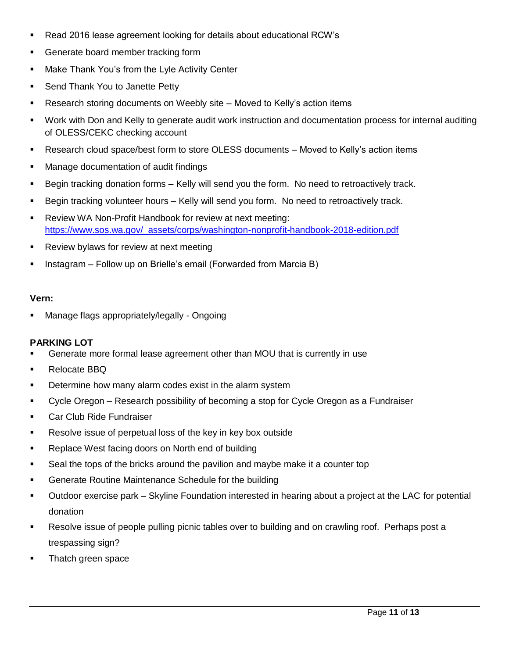- Read 2016 lease agreement looking for details about educational RCW's
- **Generate board member tracking form**
- **Make Thank You's from the Lyle Activity Center**
- **Send Thank You to Janette Petty**
- Research storing documents on Weebly site Moved to Kelly's action items
- Work with Don and Kelly to generate audit work instruction and documentation process for internal auditing of OLESS/CEKC checking account
- Research cloud space/best form to store OLESS documents Moved to Kelly's action items
- **Manage documentation of audit findings**
- Begin tracking donation forms Kelly will send you the form. No need to retroactively track.
- **Begin tracking volunteer hours Kelly will send you form. No need to retroactively track.**
- **-** Review WA Non-Profit Handbook for review at next meeting: [https://www.sos.wa.gov/\\_assets/corps/washington-nonprofit-handbook-2018-edition.pdf](https://www.sos.wa.gov/_assets/corps/washington-nonprofit-handbook-2018-edition.pdf)
- **Review bylaws for review at next meeting**
- **Instagram Follow up on Brielle's email (Forwarded from Marcia B)**

#### **Vern:**

Manage flags appropriately/legally - Ongoing

# **PARKING LOT**

- Generate more formal lease agreement other than MOU that is currently in use
- **Relocate BBQ**
- **Determine how many alarm codes exist in the alarm system**
- Cycle Oregon Research possibility of becoming a stop for Cycle Oregon as a Fundraiser
- **Car Club Ride Fundraiser**
- **Resolve issue of perpetual loss of the key in key box outside**
- **Replace West facing doors on North end of building**
- Seal the tops of the bricks around the pavilion and maybe make it a counter top
- **Generate Routine Maintenance Schedule for the building**
- Outdoor exercise park Skyline Foundation interested in hearing about a project at the LAC for potential donation
- Resolve issue of people pulling picnic tables over to building and on crawling roof. Perhaps post a trespassing sign?
- **Thatch green space**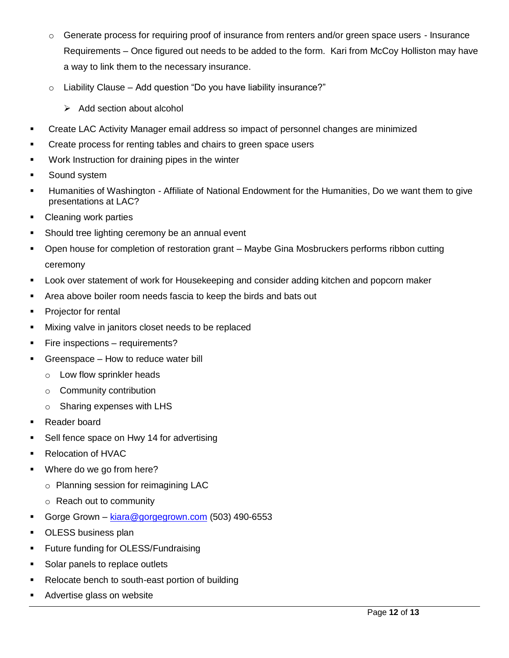- $\circ$  Generate process for requiring proof of insurance from renters and/or green space users Insurance Requirements – Once figured out needs to be added to the form. Kari from McCoy Holliston may have a way to link them to the necessary insurance.
- $\circ$  Liability Clause Add question "Do you have liability insurance?"
	- $\triangleright$  Add section about alcohol
- Create LAC Activity Manager email address so impact of personnel changes are minimized
- **Create process for renting tables and chairs to green space users**
- Work Instruction for draining pipes in the winter
- **Sound system**
- Humanities of Washington Affiliate of National Endowment for the Humanities, Do we want them to give presentations at LAC?
- Cleaning work parties
- **Should tree lighting ceremony be an annual event**
- Open house for completion of restoration grant Maybe Gina Mosbruckers performs ribbon cutting ceremony
- Look over statement of work for Housekeeping and consider adding kitchen and popcorn maker
- Area above boiler room needs fascia to keep the birds and bats out
- **Projector for rental**
- **Mixing valve in janitors closet needs to be replaced**
- **Fire inspections requirements?**
- Greenspace How to reduce water bill
	- o Low flow sprinkler heads
	- o Community contribution
	- o Sharing expenses with LHS
- Reader board
- Sell fence space on Hwy 14 for advertising
- Relocation of HVAC
- **Where do we go from here?** 
	- o Planning session for reimagining LAC
	- o Reach out to community
- Gorge Grown [kiara@gorgegrown.com](mailto:kiara@gorgegrown.com) (503) 490-6553
- **DESS business plan**
- **Future funding for OLESS/Fundraising**
- Solar panels to replace outlets
- Relocate bench to south-east portion of building
- Advertise glass on website